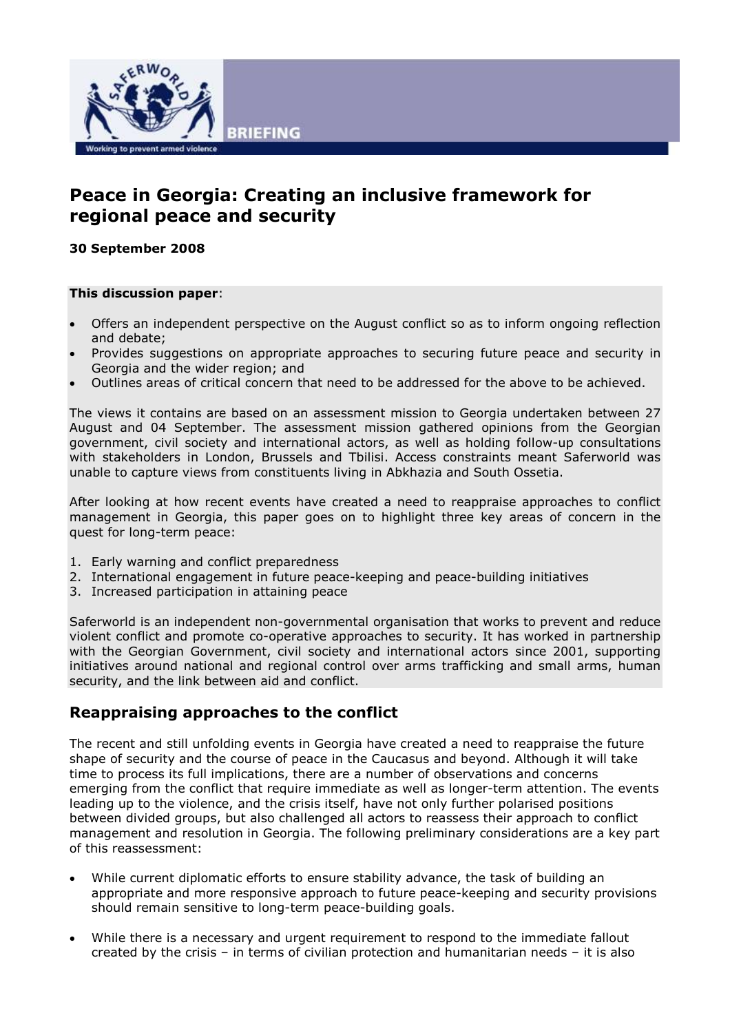

# Peace in Georgia: Creating an inclusive framework for regional peace and security

30 September 2008

#### This discussion paper:

- Offers an independent perspective on the August conflict so as to inform ongoing reflection and debate;
- Provides suggestions on appropriate approaches to securing future peace and security in Georgia and the wider region; and
- Outlines areas of critical concern that need to be addressed for the above to be achieved.

The views it contains are based on an assessment mission to Georgia undertaken between 27 August and 04 September. The assessment mission gathered opinions from the Georgian government, civil society and international actors, as well as holding follow-up consultations with stakeholders in London, Brussels and Tbilisi. Access constraints meant Saferworld was unable to capture views from constituents living in Abkhazia and South Ossetia.

After looking at how recent events have created a need to reappraise approaches to conflict management in Georgia, this paper goes on to highlight three key areas of concern in the quest for long-term peace:

- 1. Early warning and conflict preparedness
- 2. International engagement in future peace-keeping and peace-building initiatives
- 3. Increased participation in attaining peace

Saferworld is an independent non-governmental organisation that works to prevent and reduce violent conflict and promote co-operative approaches to security. It has worked in partnership with the Georgian Government, civil society and international actors since 2001, supporting initiatives around national and regional control over arms trafficking and small arms, human security, and the link between aid and conflict.

## Reappraising approaches to the conflict

The recent and still unfolding events in Georgia have created a need to reappraise the future shape of security and the course of peace in the Caucasus and beyond. Although it will take time to process its full implications, there are a number of observations and concerns emerging from the conflict that require immediate as well as longer-term attention. The events leading up to the violence, and the crisis itself, have not only further polarised positions between divided groups, but also challenged all actors to reassess their approach to conflict management and resolution in Georgia. The following preliminary considerations are a key part of this reassessment:

- While current diplomatic efforts to ensure stability advance, the task of building an appropriate and more responsive approach to future peace-keeping and security provisions should remain sensitive to long-term peace-building goals.
- While there is a necessary and urgent requirement to respond to the immediate fallout created by the crisis – in terms of civilian protection and humanitarian needs – it is also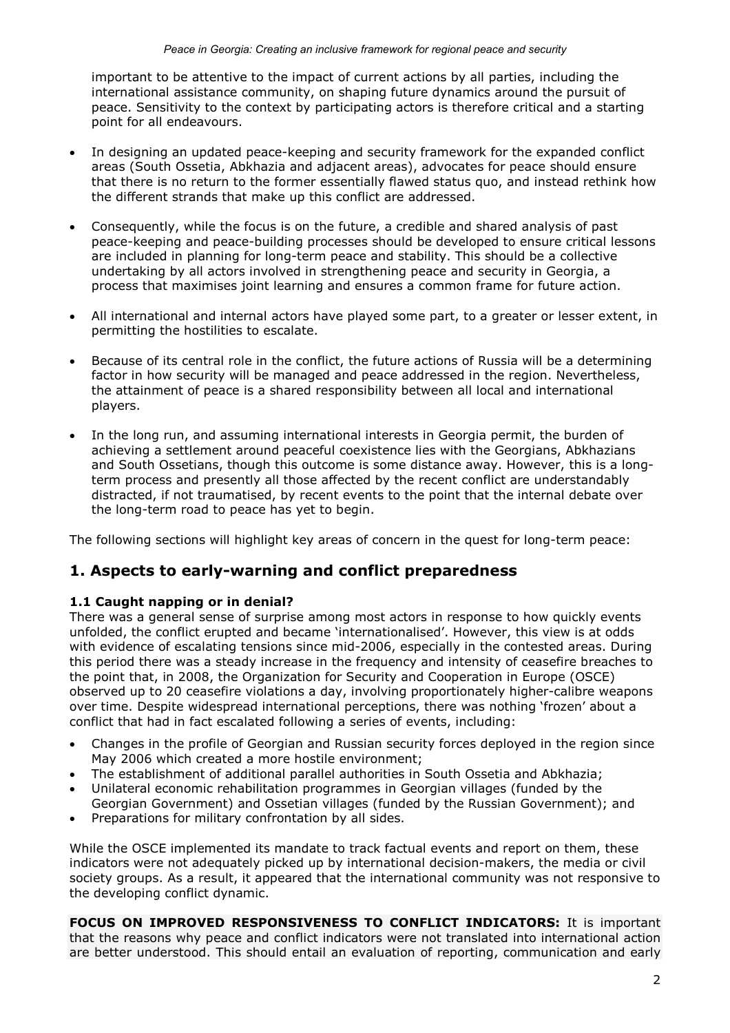important to be attentive to the impact of current actions by all parties, including the international assistance community, on shaping future dynamics around the pursuit of peace. Sensitivity to the context by participating actors is therefore critical and a starting point for all endeavours.

- In designing an updated peace-keeping and security framework for the expanded conflict areas (South Ossetia, Abkhazia and adjacent areas), advocates for peace should ensure that there is no return to the former essentially flawed status quo, and instead rethink how the different strands that make up this conflict are addressed.
- Consequently, while the focus is on the future, a credible and shared analysis of past peace-keeping and peace-building processes should be developed to ensure critical lessons are included in planning for long-term peace and stability. This should be a collective undertaking by all actors involved in strengthening peace and security in Georgia, a process that maximises joint learning and ensures a common frame for future action.
- All international and internal actors have played some part, to a greater or lesser extent, in permitting the hostilities to escalate.
- Because of its central role in the conflict, the future actions of Russia will be a determining factor in how security will be managed and peace addressed in the region. Nevertheless, the attainment of peace is a shared responsibility between all local and international players.
- In the long run, and assuming international interests in Georgia permit, the burden of achieving a settlement around peaceful coexistence lies with the Georgians, Abkhazians and South Ossetians, though this outcome is some distance away. However, this is a longterm process and presently all those affected by the recent conflict are understandably distracted, if not traumatised, by recent events to the point that the internal debate over the long-term road to peace has yet to begin.

The following sections will highlight key areas of concern in the quest for long-term peace:

## 1. Aspects to early-warning and conflict preparedness

### 1.1 Caught napping or in denial?

There was a general sense of surprise among most actors in response to how quickly events unfolded, the conflict erupted and became 'internationalised'. However, this view is at odds with evidence of escalating tensions since mid-2006, especially in the contested areas. During this period there was a steady increase in the frequency and intensity of ceasefire breaches to the point that, in 2008, the Organization for Security and Cooperation in Europe (OSCE) observed up to 20 ceasefire violations a day, involving proportionately higher-calibre weapons over time. Despite widespread international perceptions, there was nothing 'frozen' about a conflict that had in fact escalated following a series of events, including:

- Changes in the profile of Georgian and Russian security forces deployed in the region since May 2006 which created a more hostile environment;
- The establishment of additional parallel authorities in South Ossetia and Abkhazia;
- Unilateral economic rehabilitation programmes in Georgian villages (funded by the Georgian Government) and Ossetian villages (funded by the Russian Government); and
- Preparations for military confrontation by all sides.

While the OSCE implemented its mandate to track factual events and report on them, these indicators were not adequately picked up by international decision-makers, the media or civil society groups. As a result, it appeared that the international community was not responsive to the developing conflict dynamic.

FOCUS ON IMPROVED RESPONSIVENESS TO CONFLICT INDICATORS: It is important that the reasons why peace and conflict indicators were not translated into international action are better understood. This should entail an evaluation of reporting, communication and early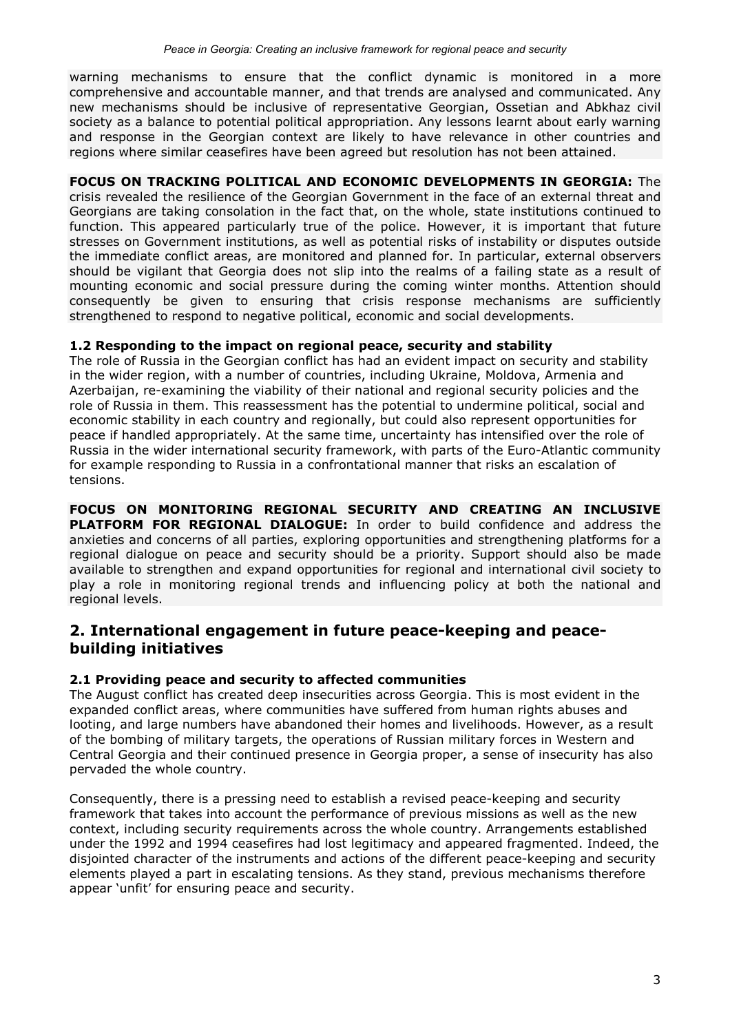warning mechanisms to ensure that the conflict dynamic is monitored in a more comprehensive and accountable manner, and that trends are analysed and communicated. Any new mechanisms should be inclusive of representative Georgian, Ossetian and Abkhaz civil society as a balance to potential political appropriation. Any lessons learnt about early warning and response in the Georgian context are likely to have relevance in other countries and regions where similar ceasefires have been agreed but resolution has not been attained.

### FOCUS ON TRACKING POLITICAL AND ECONOMIC DEVELOPMENTS IN GEORGIA: The

crisis revealed the resilience of the Georgian Government in the face of an external threat and Georgians are taking consolation in the fact that, on the whole, state institutions continued to function. This appeared particularly true of the police. However, it is important that future stresses on Government institutions, as well as potential risks of instability or disputes outside the immediate conflict areas, are monitored and planned for. In particular, external observers should be vigilant that Georgia does not slip into the realms of a failing state as a result of mounting economic and social pressure during the coming winter months. Attention should consequently be given to ensuring that crisis response mechanisms are sufficiently strengthened to respond to negative political, economic and social developments.

#### 1.2 Responding to the impact on regional peace, security and stability

The role of Russia in the Georgian conflict has had an evident impact on security and stability in the wider region, with a number of countries, including Ukraine, Moldova, Armenia and Azerbaijan, re-examining the viability of their national and regional security policies and the role of Russia in them. This reassessment has the potential to undermine political, social and economic stability in each country and regionally, but could also represent opportunities for peace if handled appropriately. At the same time, uncertainty has intensified over the role of Russia in the wider international security framework, with parts of the Euro-Atlantic community for example responding to Russia in a confrontational manner that risks an escalation of tensions.

FOCUS ON MONITORING REGIONAL SECURITY AND CREATING AN INCLUSIVE PLATFORM FOR REGIONAL DIALOGUE: In order to build confidence and address the anxieties and concerns of all parties, exploring opportunities and strengthening platforms for a regional dialogue on peace and security should be a priority. Support should also be made available to strengthen and expand opportunities for regional and international civil society to play a role in monitoring regional trends and influencing policy at both the national and regional levels.

## 2. International engagement in future peace-keeping and peacebuilding initiatives

### 2.1 Providing peace and security to affected communities

The August conflict has created deep insecurities across Georgia. This is most evident in the expanded conflict areas, where communities have suffered from human rights abuses and looting, and large numbers have abandoned their homes and livelihoods. However, as a result of the bombing of military targets, the operations of Russian military forces in Western and Central Georgia and their continued presence in Georgia proper, a sense of insecurity has also pervaded the whole country.

Consequently, there is a pressing need to establish a revised peace-keeping and security framework that takes into account the performance of previous missions as well as the new context, including security requirements across the whole country. Arrangements established under the 1992 and 1994 ceasefires had lost legitimacy and appeared fragmented. Indeed, the disjointed character of the instruments and actions of the different peace-keeping and security elements played a part in escalating tensions. As they stand, previous mechanisms therefore appear 'unfit' for ensuring peace and security.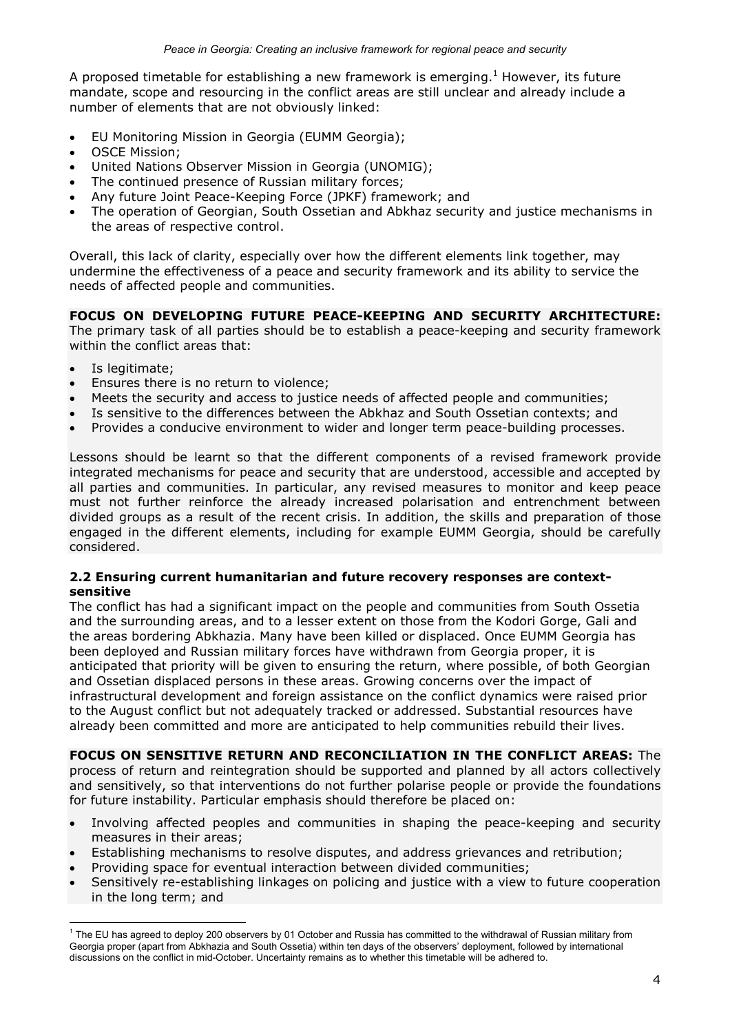A proposed timetable for establishing a new framework is emerging.<sup>1</sup> However, its future mandate, scope and resourcing in the conflict areas are still unclear and already include a number of elements that are not obviously linked:

- EU Monitoring Mission in Georgia (EUMM Georgia);
- OSCE Mission;
- United Nations Observer Mission in Georgia (UNOMIG);
- The continued presence of Russian military forces;
- Any future Joint Peace-Keeping Force (JPKF) framework; and
- The operation of Georgian, South Ossetian and Abkhaz security and justice mechanisms in the areas of respective control.

Overall, this lack of clarity, especially over how the different elements link together, may undermine the effectiveness of a peace and security framework and its ability to service the needs of affected people and communities.

### FOCUS ON DEVELOPING FUTURE PEACE-KEEPING AND SECURITY ARCHITECTURE:

The primary task of all parties should be to establish a peace-keeping and security framework within the conflict areas that:

Is legitimate:

 $\overline{a}$ 

- Ensures there is no return to violence;
- Meets the security and access to justice needs of affected people and communities;
- Is sensitive to the differences between the Abkhaz and South Ossetian contexts; and
- Provides a conducive environment to wider and longer term peace-building processes.

Lessons should be learnt so that the different components of a revised framework provide integrated mechanisms for peace and security that are understood, accessible and accepted by all parties and communities. In particular, any revised measures to monitor and keep peace must not further reinforce the already increased polarisation and entrenchment between divided groups as a result of the recent crisis. In addition, the skills and preparation of those engaged in the different elements, including for example EUMM Georgia, should be carefully considered.

#### 2.2 Ensuring current humanitarian and future recovery responses are contextsensitive

The conflict has had a significant impact on the people and communities from South Ossetia and the surrounding areas, and to a lesser extent on those from the Kodori Gorge, Gali and the areas bordering Abkhazia. Many have been killed or displaced. Once EUMM Georgia has been deployed and Russian military forces have withdrawn from Georgia proper, it is anticipated that priority will be given to ensuring the return, where possible, of both Georgian and Ossetian displaced persons in these areas. Growing concerns over the impact of infrastructural development and foreign assistance on the conflict dynamics were raised prior to the August conflict but not adequately tracked or addressed. Substantial resources have already been committed and more are anticipated to help communities rebuild their lives.

FOCUS ON SENSITIVE RETURN AND RECONCILIATION IN THE CONFLICT AREAS: The process of return and reintegration should be supported and planned by all actors collectively and sensitively, so that interventions do not further polarise people or provide the foundations for future instability. Particular emphasis should therefore be placed on:

- Involving affected peoples and communities in shaping the peace-keeping and security measures in their areas;
- Establishing mechanisms to resolve disputes, and address grievances and retribution;
- Providing space for eventual interaction between divided communities;
- Sensitively re-establishing linkages on policing and justice with a view to future cooperation in the long term; and

<sup>1</sup> The EU has agreed to deploy 200 observers by 01 October and Russia has committed to the withdrawal of Russian military from Georgia proper (apart from Abkhazia and South Ossetia) within ten days of the observers' deployment, followed by international discussions on the conflict in mid-October. Uncertainty remains as to whether this timetable will be adhered to.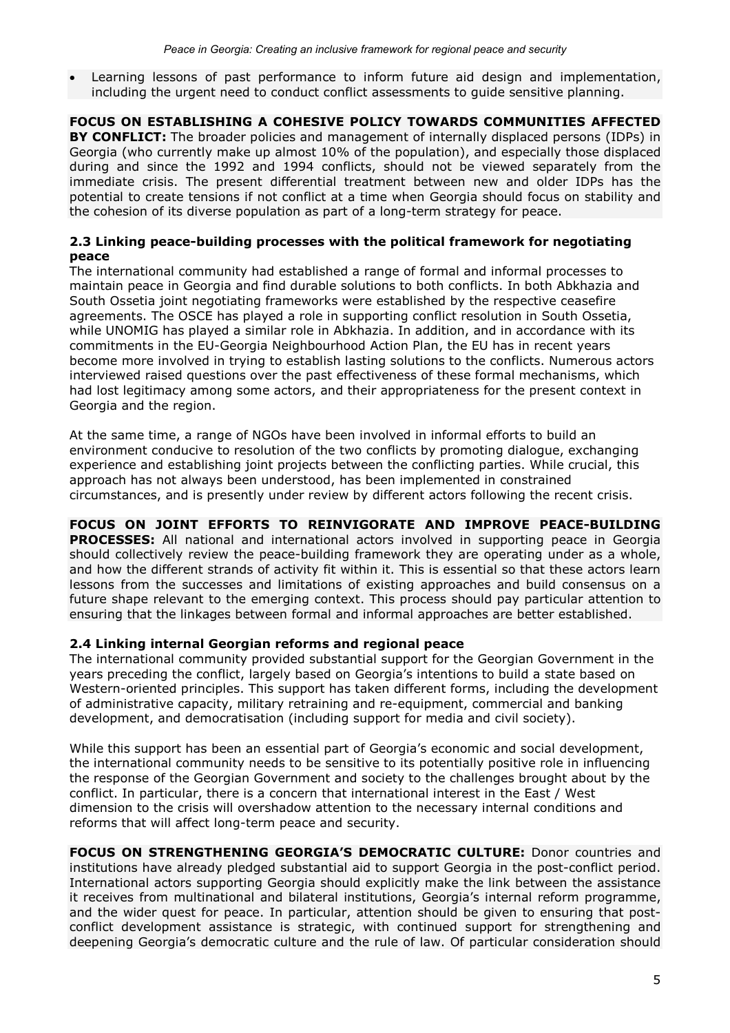• Learning lessons of past performance to inform future aid design and implementation, including the urgent need to conduct conflict assessments to guide sensitive planning.

FOCUS ON ESTABLISHING A COHESIVE POLICY TOWARDS COMMUNITIES AFFECTED BY CONFLICT: The broader policies and management of internally displaced persons (IDPs) in Georgia (who currently make up almost 10% of the population), and especially those displaced during and since the 1992 and 1994 conflicts, should not be viewed separately from the immediate crisis. The present differential treatment between new and older IDPs has the potential to create tensions if not conflict at a time when Georgia should focus on stability and the cohesion of its diverse population as part of a long-term strategy for peace.

### 2.3 Linking peace-building processes with the political framework for negotiating peace

The international community had established a range of formal and informal processes to maintain peace in Georgia and find durable solutions to both conflicts. In both Abkhazia and South Ossetia joint negotiating frameworks were established by the respective ceasefire agreements. The OSCE has played a role in supporting conflict resolution in South Ossetia, while UNOMIG has played a similar role in Abkhazia. In addition, and in accordance with its commitments in the EU-Georgia Neighbourhood Action Plan, the EU has in recent years become more involved in trying to establish lasting solutions to the conflicts. Numerous actors interviewed raised questions over the past effectiveness of these formal mechanisms, which had lost legitimacy among some actors, and their appropriateness for the present context in Georgia and the region.

At the same time, a range of NGOs have been involved in informal efforts to build an environment conducive to resolution of the two conflicts by promoting dialogue, exchanging experience and establishing joint projects between the conflicting parties. While crucial, this approach has not always been understood, has been implemented in constrained circumstances, and is presently under review by different actors following the recent crisis.

## FOCUS ON JOINT EFFORTS TO REINVIGORATE AND IMPROVE PEACE-BUILDING

**PROCESSES:** All national and international actors involved in supporting peace in Georgia should collectively review the peace-building framework they are operating under as a whole, and how the different strands of activity fit within it. This is essential so that these actors learn lessons from the successes and limitations of existing approaches and build consensus on a future shape relevant to the emerging context. This process should pay particular attention to ensuring that the linkages between formal and informal approaches are better established.

### 2.4 Linking internal Georgian reforms and regional peace

The international community provided substantial support for the Georgian Government in the years preceding the conflict, largely based on Georgia's intentions to build a state based on Western-oriented principles. This support has taken different forms, including the development of administrative capacity, military retraining and re-equipment, commercial and banking development, and democratisation (including support for media and civil society).

While this support has been an essential part of Georgia's economic and social development, the international community needs to be sensitive to its potentially positive role in influencing the response of the Georgian Government and society to the challenges brought about by the conflict. In particular, there is a concern that international interest in the East / West dimension to the crisis will overshadow attention to the necessary internal conditions and reforms that will affect long-term peace and security.

FOCUS ON STRENGTHENING GEORGIA'S DEMOCRATIC CULTURE: Donor countries and institutions have already pledged substantial aid to support Georgia in the post-conflict period. International actors supporting Georgia should explicitly make the link between the assistance it receives from multinational and bilateral institutions, Georgia's internal reform programme, and the wider quest for peace. In particular, attention should be given to ensuring that postconflict development assistance is strategic, with continued support for strengthening and deepening Georgia's democratic culture and the rule of law. Of particular consideration should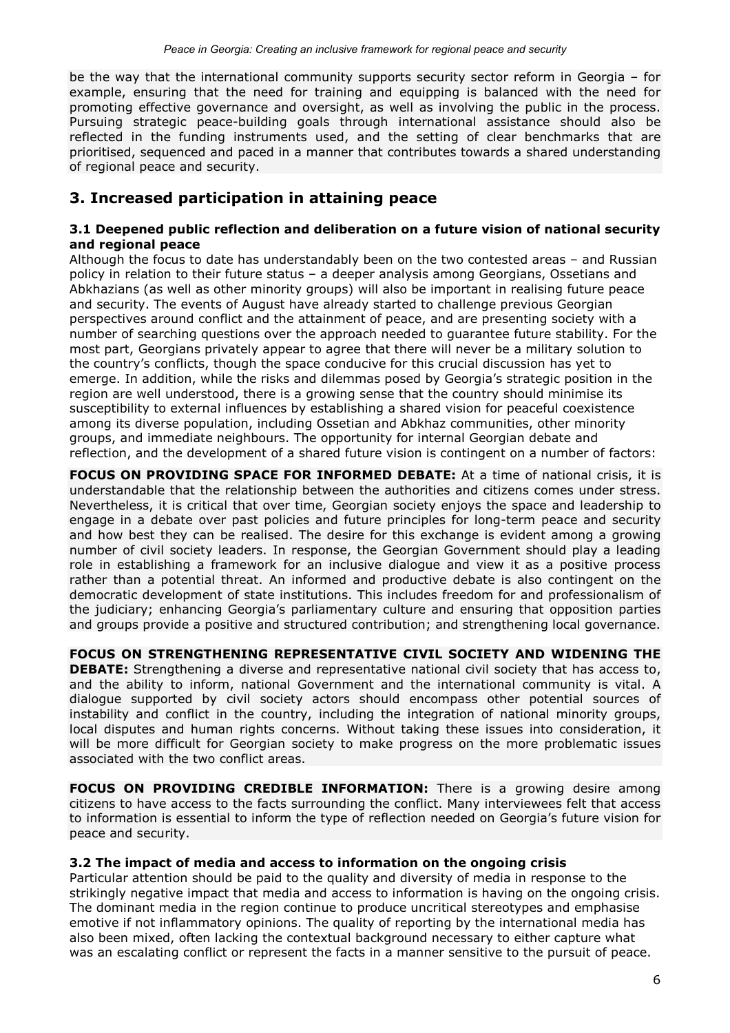be the way that the international community supports security sector reform in Georgia – for example, ensuring that the need for training and equipping is balanced with the need for promoting effective governance and oversight, as well as involving the public in the process. Pursuing strategic peace-building goals through international assistance should also be reflected in the funding instruments used, and the setting of clear benchmarks that are prioritised, sequenced and paced in a manner that contributes towards a shared understanding of regional peace and security.

## 3. Increased participation in attaining peace

#### 3.1 Deepened public reflection and deliberation on a future vision of national security and regional peace

Although the focus to date has understandably been on the two contested areas – and Russian policy in relation to their future status – a deeper analysis among Georgians, Ossetians and Abkhazians (as well as other minority groups) will also be important in realising future peace and security. The events of August have already started to challenge previous Georgian perspectives around conflict and the attainment of peace, and are presenting society with a number of searching questions over the approach needed to guarantee future stability. For the most part, Georgians privately appear to agree that there will never be a military solution to the country's conflicts, though the space conducive for this crucial discussion has yet to emerge. In addition, while the risks and dilemmas posed by Georgia's strategic position in the region are well understood, there is a growing sense that the country should minimise its susceptibility to external influences by establishing a shared vision for peaceful coexistence among its diverse population, including Ossetian and Abkhaz communities, other minority groups, and immediate neighbours. The opportunity for internal Georgian debate and reflection, and the development of a shared future vision is contingent on a number of factors:

FOCUS ON PROVIDING SPACE FOR INFORMED DEBATE: At a time of national crisis, it is understandable that the relationship between the authorities and citizens comes under stress. Nevertheless, it is critical that over time, Georgian society enjoys the space and leadership to engage in a debate over past policies and future principles for long-term peace and security and how best they can be realised. The desire for this exchange is evident among a growing number of civil society leaders. In response, the Georgian Government should play a leading role in establishing a framework for an inclusive dialogue and view it as a positive process rather than a potential threat. An informed and productive debate is also contingent on the democratic development of state institutions. This includes freedom for and professionalism of the judiciary; enhancing Georgia's parliamentary culture and ensuring that opposition parties and groups provide a positive and structured contribution; and strengthening local governance.

FOCUS ON STRENGTHENING REPRESENTATIVE CIVIL SOCIETY AND WIDENING THE **DEBATE:** Strengthening a diverse and representative national civil society that has access to, and the ability to inform, national Government and the international community is vital. A dialogue supported by civil society actors should encompass other potential sources of instability and conflict in the country, including the integration of national minority groups, local disputes and human rights concerns. Without taking these issues into consideration, it will be more difficult for Georgian society to make progress on the more problematic issues associated with the two conflict areas.

FOCUS ON PROVIDING CREDIBLE INFORMATION: There is a growing desire among citizens to have access to the facts surrounding the conflict. Many interviewees felt that access to information is essential to inform the type of reflection needed on Georgia's future vision for peace and security.

### 3.2 The impact of media and access to information on the ongoing crisis

Particular attention should be paid to the quality and diversity of media in response to the strikingly negative impact that media and access to information is having on the ongoing crisis. The dominant media in the region continue to produce uncritical stereotypes and emphasise emotive if not inflammatory opinions. The quality of reporting by the international media has also been mixed, often lacking the contextual background necessary to either capture what was an escalating conflict or represent the facts in a manner sensitive to the pursuit of peace.